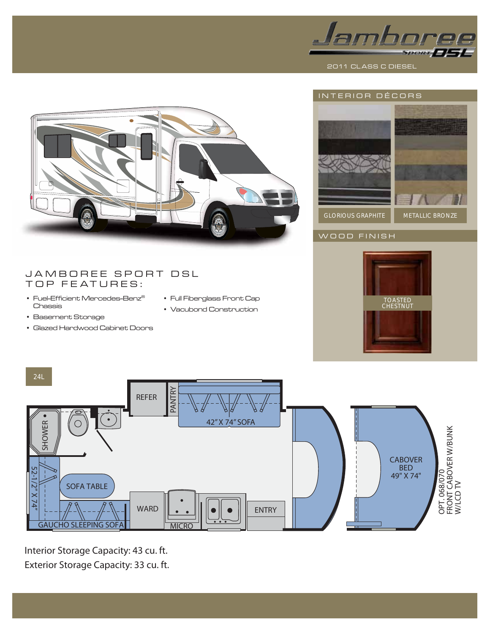





# WOOD FINISH

## JAMBOREE SPORT DSL TOP FEATURES:

- $\cdot$  Fuel-Efficient Mercedes-Benz® Chassis
- Full Fiberglass Front Cap
- Vacubond Construction
- Basement Storage
- Glazed Hardwood Cabinet Doors





Interior Storage Capacity: 43 cu. ft.